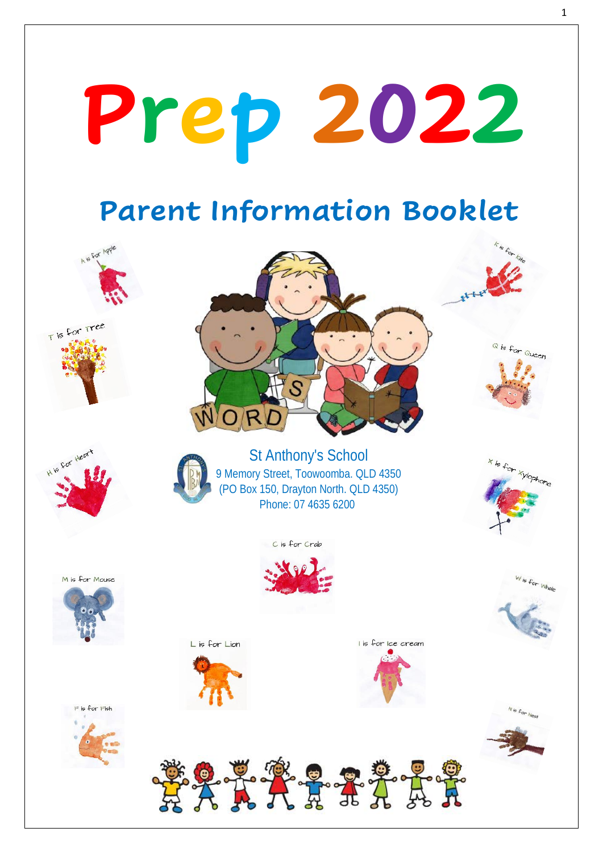# **Prep 2022**

## **Parent Information Booklet**

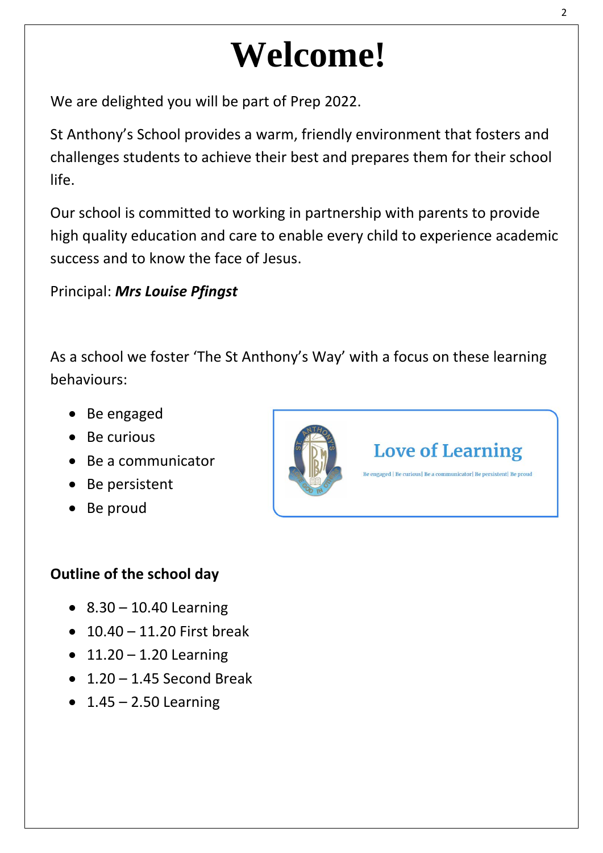## **Welcome!**

We are delighted you will be part of Prep 2022.

St Anthony's School provides a warm, friendly environment that fosters and challenges students to achieve their best and prepares them for their school life.

Our school is committed to working in partnership with parents to provide high quality education and care to enable every child to experience academic success and to know the face of Jesus.

#### Principal: *Mrs Louise Pfingst*

As a school we foster 'The St Anthony's Way' with a focus on these learning behaviours:

- Be engaged
- Be curious
- Be a communicator
- Be persistent
- Be proud

#### **Outline of the school day**

- $8.30 10.40$  Learning
- $\bullet$  10.40 11.20 First break
- $11.20 1.20$  Learning
- $\bullet$  1.20 1.45 Second Break
- $\bullet$  1.45 2.50 Learning



## **Love of Learning**

.<br>Be engaged | Be curious| Be a communicator| Be persistent| Be proud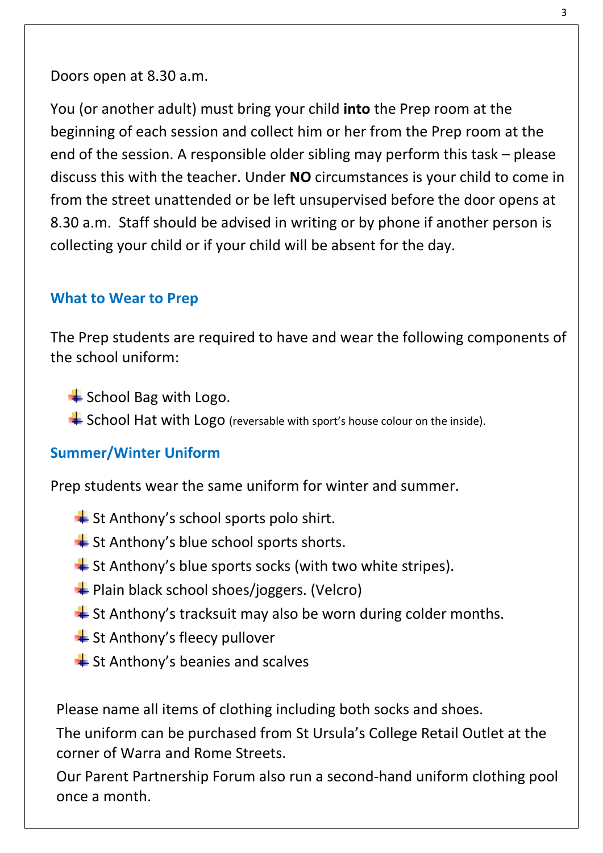Doors open at 8.30 a.m.

You (or another adult) must bring your child **into** the Prep room at the beginning of each session and collect him or her from the Prep room at the end of the session. A responsible older sibling may perform this task – please discuss this with the teacher. Under **NO** circumstances is your child to come in from the street unattended or be left unsupervised before the door opens at 8.30 a.m. Staff should be advised in writing or by phone if another person is collecting your child or if your child will be absent for the day.

#### **What to Wear to Prep**

The Prep students are required to have and wear the following components of the school uniform:

- $\triangleq$  School Bag with Logo.
- School Hat with Logo (reversable with sport's house colour on the inside).

#### **Summer/Winter Uniform**

Prep students wear the same uniform for winter and summer.

- $\triangleq$  St Anthony's school sports polo shirt.
- St Anthony's blue school sports shorts.
- St Anthony's blue sports socks (with two white stripes).
- **E** Plain black school shoes/joggers. (Velcro)
- $\triangleq$  St Anthony's tracksuit may also be worn during colder months.
- $\pm$  St Anthony's fleecy pullover
- $\triangleq$  St Anthony's beanies and scalves

Please name all items of clothing including both socks and shoes.

The uniform can be purchased from St Ursula's College Retail Outlet at the corner of Warra and Rome Streets.

Our Parent Partnership Forum also run a second-hand uniform clothing pool once a month.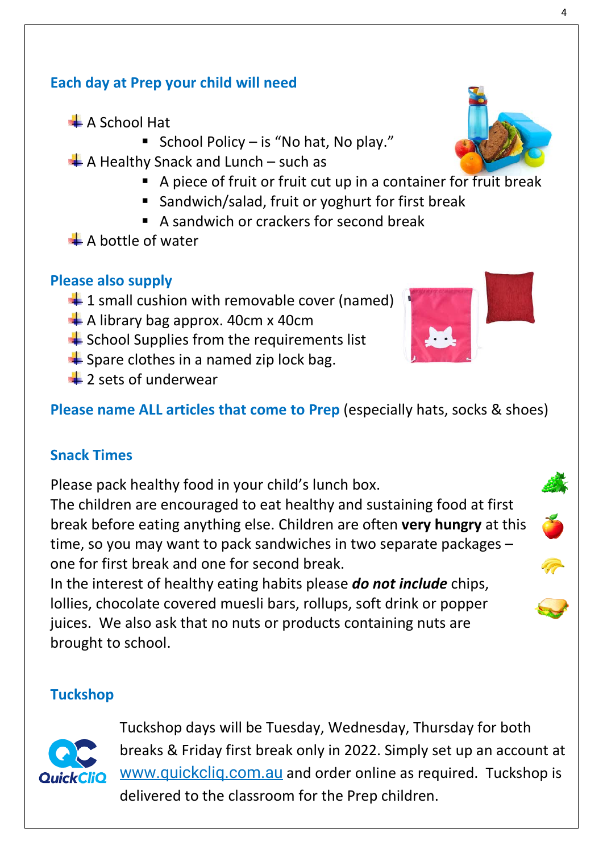$\overline{A}$ 

### **Each day at Prep your child will need**

- A School Hat
	- School Policy is "No hat, No play."
- $\blacktriangle$  A Healthy Snack and Lunch such as
	- A piece of fruit or fruit cut up in a container for fruit break
	- Sandwich/salad, fruit or yoghurt for first break
	- A sandwich or crackers for second break
- $\triangle$  A bottle of water

#### **Please also supply**

- $\ddagger$  1 small cushion with removable cover (named)
- $\overline{\phantom{a}}$  A library bag approx. 40cm x 40cm
- $\triangleq$  School Supplies from the requirements list
- $\triangleq$  Spare clothes in a named zip lock bag.
- $\pm$  2 sets of underwear

**Please name ALL articles that come to Prep** (especially hats, socks & shoes)

### **Snack Times**

Please pack healthy food in your child's lunch box.

The children are encouraged to eat healthy and sustaining food at first break before eating anything else. Children are often **very hungry** at this time, so you may want to pack sandwiches in two separate packages – one for first break and one for second break.

In the interest of healthy eating habits please *do not include* chips, lollies, chocolate covered muesli bars, rollups, soft drink or popper juices. We also ask that no nuts or products containing nuts are brought to school.

#### **Tuckshop**



Tuckshop days will be Tuesday, Wednesday, Thursday for both breaks & Friday first break only in 2022. Simply set up an account at www.quickcliq.com.au and order online as required. Tuckshop is delivered to the classroom for the Prep children.









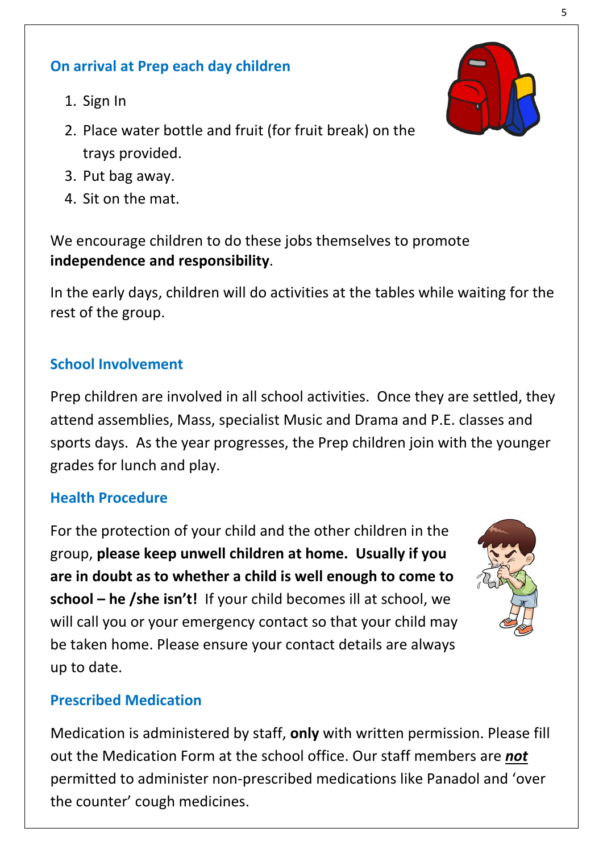#### **On arrival at Prep each day children**

- 1. Sign In
- 2. Place water bottle and fruit (for fruit break) on the trays provided.
- 3. Put bag away.
- 4. Sit on the mat.

We encourage children to do these jobs themselves to promote **independence and responsibility**.

In the early days, children will do activities at the tables while waiting for the rest of the group.

#### **School Involvement**

Prep children are involved in all school activities. Once they are settled, they attend assemblies, Mass, specialist Music and Drama and P.E. classes and sports days. As the year progresses, the Prep children join with the younger grades for lunch and play.

#### **Health Procedure**

For the protection of your child and the other children in the group, **please keep unwell children at home. Usually if you are in doubt as to whether a child is well enough to come to school – he /she isn't!** If your child becomes ill at school, we will call you or your emergency contact so that your child may be taken home. Please ensure your contact details are always up to date.



#### **Prescribed Medication**

Medication is administered by staff, **only** with written permission. Please fill out the Medication Form at the school office. Our staff members are *not* permitted to administer non-prescribed medications like Panadol and 'over the counter' cough medicines.

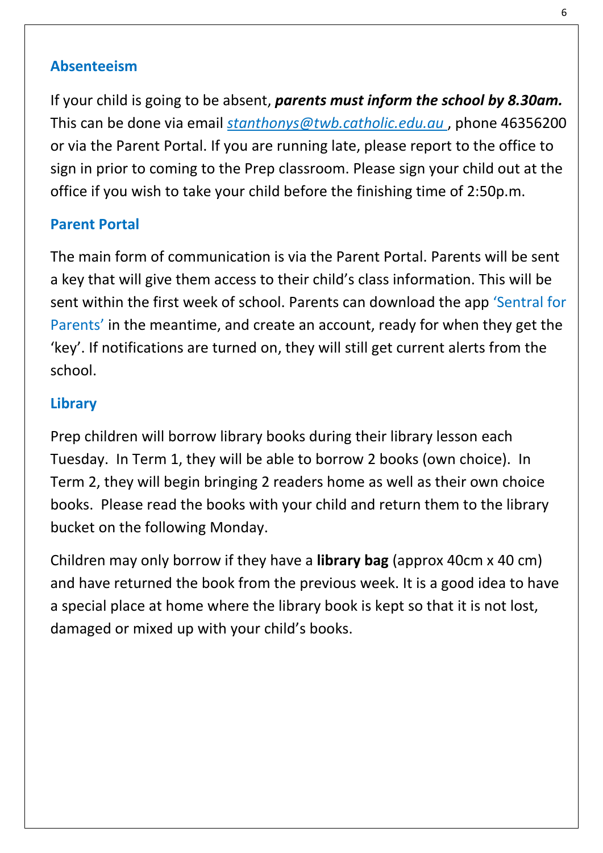#### **Absenteeism**

If your child is going to be absent, *parents must inform the school by 8.30am.* This can be done via email *stanthonys@twb.catholic.edu.au* , phone 46356200 or via the Parent Portal. If you are running late, please report to the office to sign in prior to coming to the Prep classroom. Please sign your child out at the office if you wish to take your child before the finishing time of 2:50p.m.

#### **Parent Portal**

The main form of communication is via the Parent Portal. Parents will be sent a key that will give them access to their child's class information. This will be sent within the first week of school. Parents can download the app 'Sentral for Parents' in the meantime, and create an account, ready for when they get the 'key'. If notifications are turned on, they will still get current alerts from the school.

#### **Library**

Prep children will borrow library books during their library lesson each Tuesday. In Term 1, they will be able to borrow 2 books (own choice). In Term 2, they will begin bringing 2 readers home as well as their own choice books. Please read the books with your child and return them to the library bucket on the following Monday.

Children may only borrow if they have a **library bag** (approx 40cm x 40 cm) and have returned the book from the previous week. It is a good idea to have a special place at home where the library book is kept so that it is not lost, damaged or mixed up with your child's books.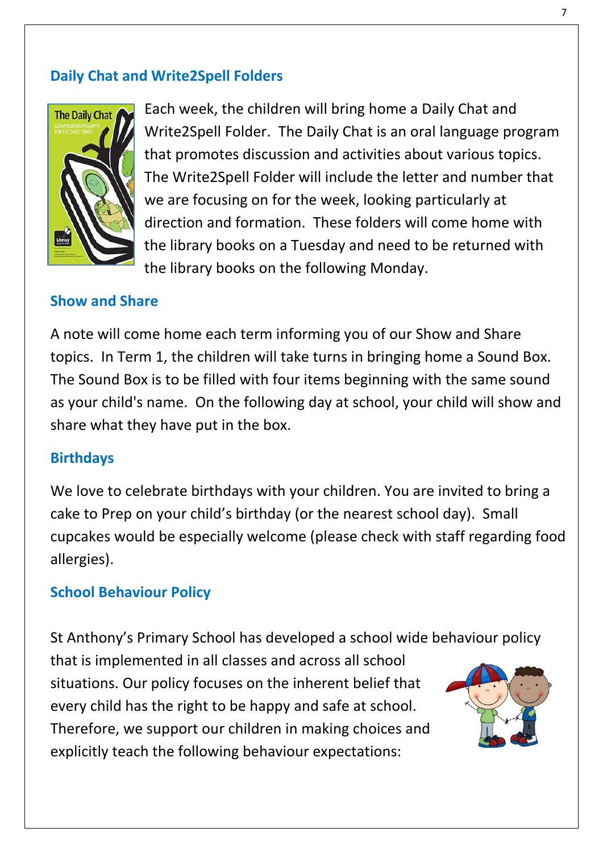#### **Daily Chat and Write2Spell Folders**



Each week, the children will bring home a Daily Chat and Write2Spell Folder. The Daily Chat is an oral language program that promotes discussion and activities about various topics. The Write2Spell Folder will include the letter and number that we are focusing on for the week, looking particularly at direction and formation. These folders will come home with the library books on a Tuesday and need to be returned with the library books on the following Monday.

#### **Show and Share**

A note will come home each term informing you of our Show and Share topics. In Term 1, the children will take turns in bringing home a Sound Box. The Sound Box is to be filled with four items beginning with the same sound as your child's name. On the following day at school, your child will show and share what they have put in the box.

#### **Birthdays**

We love to celebrate birthdays with your children. You are invited to bring a cake to Prep on your child's birthday (or the nearest school day). Small cupcakes would be especially welcome (please check with staff regarding food allergies).

#### **School Behaviour Policy**

St Anthony's Primary School has developed a school wide behaviour policy that is implemented in all classes and across all school situations. Our policy focuses on the inherent belief that every child has the right to be happy and safe at school. Therefore, we support our children in making choices and explicitly teach the following behaviour expectations: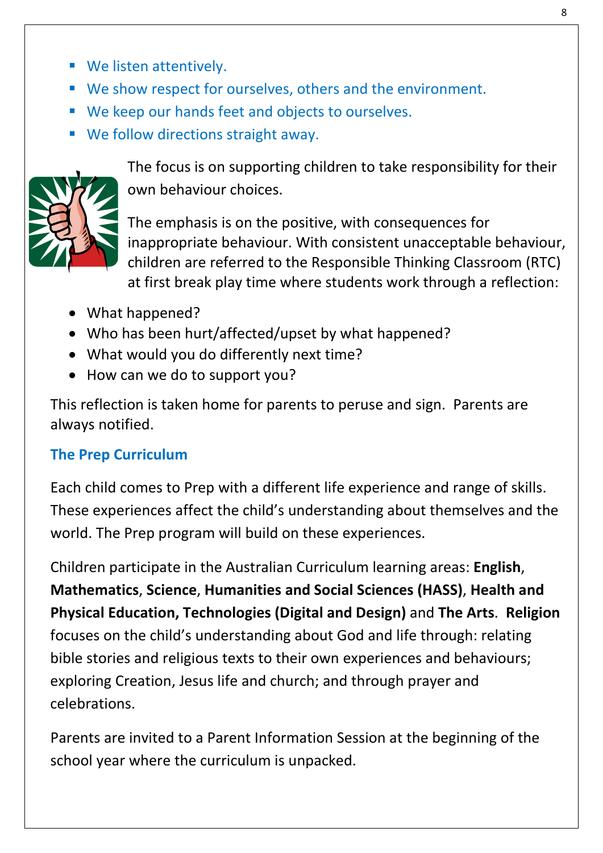- We listen attentively.
- We show respect for ourselves, others and the environment.
- We keep our hands feet and objects to ourselves.
- We follow directions straight away.



The focus is on supporting children to take responsibility for their own behaviour choices.

The emphasis is on the positive, with consequences for inappropriate behaviour. With consistent unacceptable behaviour, children are referred to the Responsible Thinking Classroom (RTC) at first break play time where students work through a reflection:

- What happened?
- Who has been hurt/affected/upset by what happened?
- What would you do differently next time?
- How can we do to support you?

This reflection is taken home for parents to peruse and sign. Parents are always notified.

#### **The Prep Curriculum**

Each child comes to Prep with a different life experience and range of skills. These experiences affect the child's understanding about themselves and the world. The Prep program will build on these experiences.

Children participate in the Australian Curriculum learning areas: **English**, **Mathematics**, **Science**, **Humanities and Social Sciences (HASS)**, **Health and Physical Education, Technologies (Digital and Design)** and **The Arts**. **Religion** focuses on the child's understanding about God and life through: relating bible stories and religious texts to their own experiences and behaviours; exploring Creation, Jesus life and church; and through prayer and celebrations.

Parents are invited to a Parent Information Session at the beginning of the school year where the curriculum is unpacked.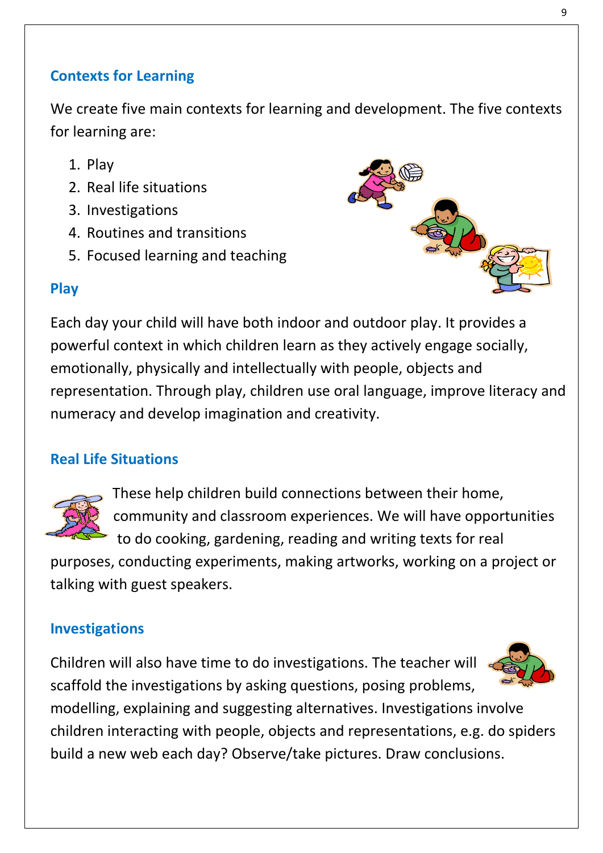#### **Contexts for Learning**

We create five main contexts for learning and development. The five contexts for learning are:

- 1. Play
- 2. Real life situations
- 3. Investigations
- 4. Routines and transitions
- 5. Focused learning and teaching



#### **Play**

Each day your child will have both indoor and outdoor play. It provides a powerful context in which children learn as they actively engage socially, emotionally, physically and intellectually with people, objects and representation. Through play, children use oral language, improve literacy and numeracy and develop imagination and creativity.

#### **Real Life Situations**



These help children build connections between their home, community and classroom experiences. We will have opportunities to do cooking, gardening, reading and writing texts for real

purposes, conducting experiments, making artworks, working on a project or talking with guest speakers.

#### **Investigations**

Children will also have time to do investigations. The teacher will scaffold the investigations by asking questions, posing problems,



modelling, explaining and suggesting alternatives. Investigations involve children interacting with people, objects and representations, e.g. do spiders build a new web each day? Observe/take pictures. Draw conclusions.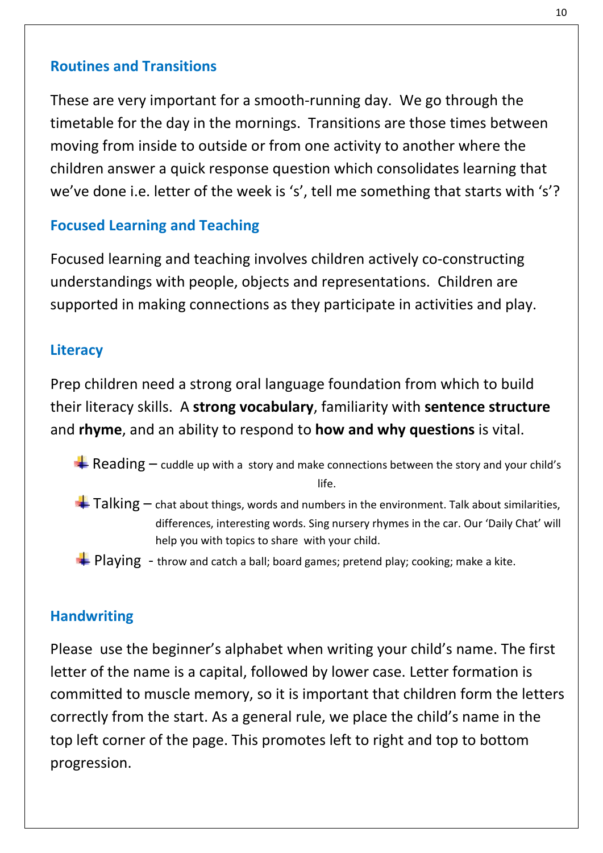#### **Routines and Transitions**

These are very important for a smooth-running day. We go through the timetable for the day in the mornings. Transitions are those times between moving from inside to outside or from one activity to another where the children answer a quick response question which consolidates learning that we've done i.e. letter of the week is 's', tell me something that starts with 's'?

#### **Focused Learning and Teaching**

Focused learning and teaching involves children actively co-constructing understandings with people, objects and representations. Children are supported in making connections as they participate in activities and play.

#### **Literacy**

Prep children need a strong oral language foundation from which to build their literacy skills. A **strong vocabulary**, familiarity with **sentence structure** and **rhyme**, and an ability to respond to **how and why questions** is vital.

- Reading  $-$  cuddle up with a story and make connections between the story and your child's life.
- $\blacktriangleright$  Talking  $-$  chat about things, words and numbers in the environment. Talk about similarities, differences, interesting words. Sing nursery rhymes in the car. Our 'Daily Chat' will help you with topics to share with your child.
- $\blacktriangleright$  Playing throw and catch a ball; board games; pretend play; cooking; make a kite.

#### **Handwriting**

Please use the beginner's alphabet when writing your child's name. The first letter of the name is a capital, followed by lower case. Letter formation is committed to muscle memory, so it is important that children form the letters correctly from the start. As a general rule, we place the child's name in the top left corner of the page. This promotes left to right and top to bottom progression.